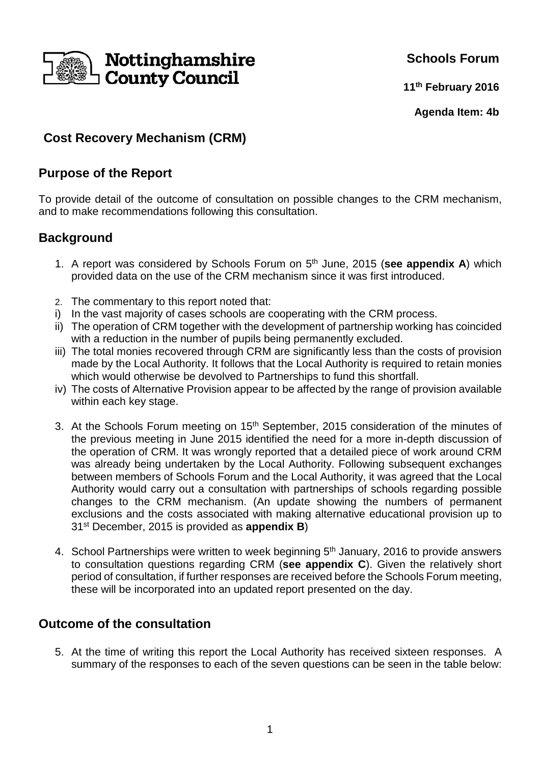

**Schools Forum**

**11th February 2016**

**Agenda Item: 4b**

# **Cost Recovery Mechanism (CRM)**

### **Purpose of the Report**

To provide detail of the outcome of consultation on possible changes to the CRM mechanism, and to make recommendations following this consultation.

## **Background**

- 1. A report was considered by Schools Forum on 5th June, 2015 (**see appendix A**) which provided data on the use of the CRM mechanism since it was first introduced.
- 2. The commentary to this report noted that:
- i) In the vast majority of cases schools are cooperating with the CRM process.
- ii) The operation of CRM together with the development of partnership working has coincided with a reduction in the number of pupils being permanently excluded.
- iii) The total monies recovered through CRM are significantly less than the costs of provision made by the Local Authority. It follows that the Local Authority is required to retain monies which would otherwise be devolved to Partnerships to fund this shortfall.
- iv) The costs of Alternative Provision appear to be affected by the range of provision available within each key stage.
- 3. At the Schools Forum meeting on 15<sup>th</sup> September, 2015 consideration of the minutes of the previous meeting in June 2015 identified the need for a more in-depth discussion of the operation of CRM. It was wrongly reported that a detailed piece of work around CRM was already being undertaken by the Local Authority. Following subsequent exchanges between members of Schools Forum and the Local Authority, it was agreed that the Local Authority would carry out a consultation with partnerships of schools regarding possible changes to the CRM mechanism. (An update showing the numbers of permanent exclusions and the costs associated with making alternative educational provision up to 31st December, 2015 is provided as **appendix B**)
- 4. School Partnerships were written to week beginning 5<sup>th</sup> January, 2016 to provide answers to consultation questions regarding CRM (**see appendix C**). Given the relatively short period of consultation, if further responses are received before the Schools Forum meeting, these will be incorporated into an updated report presented on the day.

### **Outcome of the consultation**

5. At the time of writing this report the Local Authority has received sixteen responses. A summary of the responses to each of the seven questions can be seen in the table below: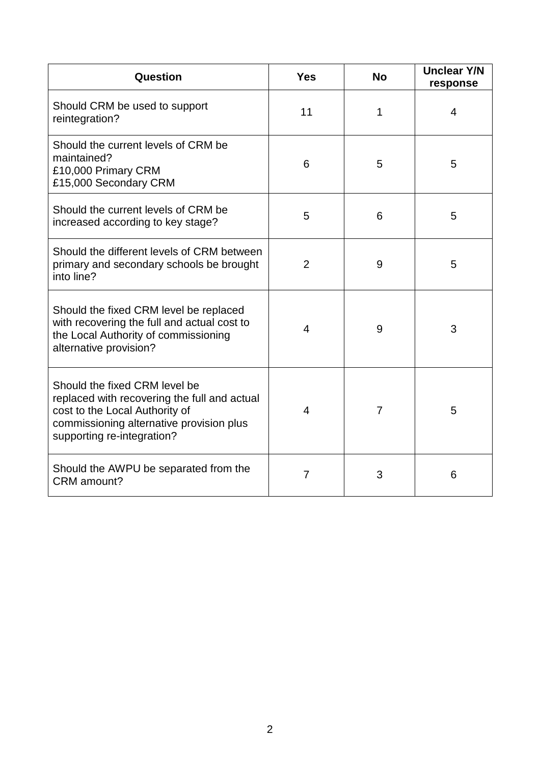| <b>Question</b>                                                                                                                                                                           | <b>Yes</b>     | <b>No</b> | <b>Unclear Y/N</b><br>response |
|-------------------------------------------------------------------------------------------------------------------------------------------------------------------------------------------|----------------|-----------|--------------------------------|
| Should CRM be used to support<br>reintegration?                                                                                                                                           | 11             | 1         | $\overline{4}$                 |
| Should the current levels of CRM be<br>maintained?<br>£10,000 Primary CRM<br>£15,000 Secondary CRM                                                                                        | 6              | 5         | 5                              |
| Should the current levels of CRM be<br>increased according to key stage?                                                                                                                  | 5              | 6         | 5                              |
| Should the different levels of CRM between<br>primary and secondary schools be brought<br>into line?                                                                                      | $\overline{2}$ | 9         | 5                              |
| Should the fixed CRM level be replaced<br>with recovering the full and actual cost to<br>the Local Authority of commissioning<br>alternative provision?                                   | $\overline{4}$ | 9         | 3                              |
| Should the fixed CRM level be<br>replaced with recovering the full and actual<br>cost to the Local Authority of<br>commissioning alternative provision plus<br>supporting re-integration? | $\overline{4}$ | 7         | 5                              |
| Should the AWPU be separated from the<br>CRM amount?                                                                                                                                      | $\overline{7}$ | 3         | 6                              |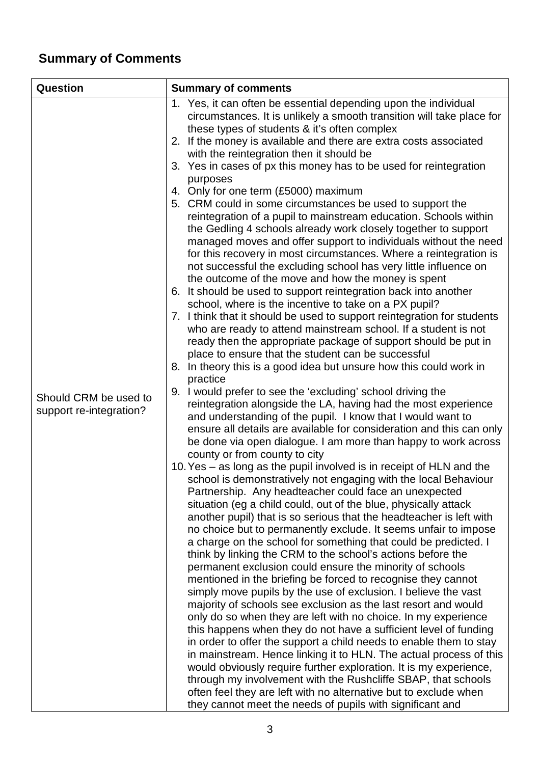# **Summary of Comments**

| Question                                         | <b>Summary of comments</b>                                                                                                                                                                                                                                                                                                                                                                                                                                                                                                                                                                                                                                                                                                                                                                                                                                                                                                                                                                                                                                                                                                                                                                                                                                                                                                                                                                                                                                                                                                                                                                                                                                                                                                                                                                                                                                                                                                                                                                                                                                                                                                                                                                                                                                                                                                                                                                                                                                                                                                                                                                                                                                                                                                                                                                                                                                                                                                                                                                                                                                                                                                                        |  |  |
|--------------------------------------------------|---------------------------------------------------------------------------------------------------------------------------------------------------------------------------------------------------------------------------------------------------------------------------------------------------------------------------------------------------------------------------------------------------------------------------------------------------------------------------------------------------------------------------------------------------------------------------------------------------------------------------------------------------------------------------------------------------------------------------------------------------------------------------------------------------------------------------------------------------------------------------------------------------------------------------------------------------------------------------------------------------------------------------------------------------------------------------------------------------------------------------------------------------------------------------------------------------------------------------------------------------------------------------------------------------------------------------------------------------------------------------------------------------------------------------------------------------------------------------------------------------------------------------------------------------------------------------------------------------------------------------------------------------------------------------------------------------------------------------------------------------------------------------------------------------------------------------------------------------------------------------------------------------------------------------------------------------------------------------------------------------------------------------------------------------------------------------------------------------------------------------------------------------------------------------------------------------------------------------------------------------------------------------------------------------------------------------------------------------------------------------------------------------------------------------------------------------------------------------------------------------------------------------------------------------------------------------------------------------------------------------------------------------------------------------------------------------------------------------------------------------------------------------------------------------------------------------------------------------------------------------------------------------------------------------------------------------------------------------------------------------------------------------------------------------------------------------------------------------------------------------------------------------|--|--|
| Should CRM be used to<br>support re-integration? | 1. Yes, it can often be essential depending upon the individual<br>circumstances. It is unlikely a smooth transition will take place for<br>these types of students & it's often complex<br>2. If the money is available and there are extra costs associated<br>with the reintegration then it should be<br>3. Yes in cases of px this money has to be used for reintegration<br>purposes<br>4. Only for one term (£5000) maximum<br>5. CRM could in some circumstances be used to support the<br>reintegration of a pupil to mainstream education. Schools within<br>the Gedling 4 schools already work closely together to support<br>managed moves and offer support to individuals without the need<br>for this recovery in most circumstances. Where a reintegration is<br>not successful the excluding school has very little influence on<br>the outcome of the move and how the money is spent<br>6. It should be used to support reintegration back into another<br>school, where is the incentive to take on a PX pupil?<br>7. I think that it should be used to support reintegration for students<br>who are ready to attend mainstream school. If a student is not<br>ready then the appropriate package of support should be put in<br>place to ensure that the student can be successful<br>8. In theory this is a good idea but unsure how this could work in<br>practice<br>9. I would prefer to see the 'excluding' school driving the<br>reintegration alongside the LA, having had the most experience<br>and understanding of the pupil. I know that I would want to<br>ensure all details are available for consideration and this can only<br>be done via open dialogue. I am more than happy to work across<br>county or from county to city<br>10. Yes – as long as the pupil involved is in receipt of HLN and the<br>school is demonstratively not engaging with the local Behaviour<br>Partnership. Any headteacher could face an unexpected<br>situation (eg a child could, out of the blue, physically attack<br>another pupil) that is so serious that the headteacher is left with<br>no choice but to permanently exclude. It seems unfair to impose<br>a charge on the school for something that could be predicted. I<br>think by linking the CRM to the school's actions before the<br>permanent exclusion could ensure the minority of schools<br>mentioned in the briefing be forced to recognise they cannot<br>simply move pupils by the use of exclusion. I believe the vast<br>majority of schools see exclusion as the last resort and would<br>only do so when they are left with no choice. In my experience<br>this happens when they do not have a sufficient level of funding<br>in order to offer the support a child needs to enable them to stay<br>in mainstream. Hence linking it to HLN. The actual process of this<br>would obviously require further exploration. It is my experience,<br>through my involvement with the Rushcliffe SBAP, that schools<br>often feel they are left with no alternative but to exclude when<br>they cannot meet the needs of pupils with significant and |  |  |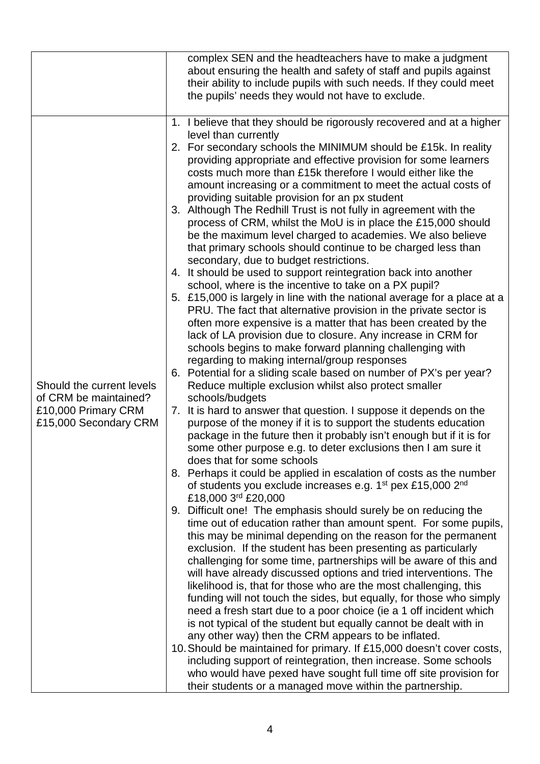|                                              |  | complex SEN and the headteachers have to make a judgment                                                                       |
|----------------------------------------------|--|--------------------------------------------------------------------------------------------------------------------------------|
|                                              |  | about ensuring the health and safety of staff and pupils against                                                               |
|                                              |  | their ability to include pupils with such needs. If they could meet                                                            |
|                                              |  | the pupils' needs they would not have to exclude.                                                                              |
|                                              |  | 1. I believe that they should be rigorously recovered and at a higher                                                          |
|                                              |  | level than currently                                                                                                           |
|                                              |  | 2. For secondary schools the MINIMUM should be £15k. In reality                                                                |
|                                              |  | providing appropriate and effective provision for some learners                                                                |
|                                              |  | costs much more than £15k therefore I would either like the                                                                    |
|                                              |  | amount increasing or a commitment to meet the actual costs of                                                                  |
|                                              |  | providing suitable provision for an px student                                                                                 |
|                                              |  | 3. Although The Redhill Trust is not fully in agreement with the                                                               |
|                                              |  | process of CRM, whilst the MoU is in place the £15,000 should                                                                  |
|                                              |  | be the maximum level charged to academies. We also believe                                                                     |
|                                              |  | that primary schools should continue to be charged less than                                                                   |
|                                              |  | secondary, due to budget restrictions.                                                                                         |
|                                              |  | 4. It should be used to support reintegration back into another<br>school, where is the incentive to take on a PX pupil?       |
|                                              |  | 5. £15,000 is largely in line with the national average for a place at a                                                       |
|                                              |  | PRU. The fact that alternative provision in the private sector is                                                              |
|                                              |  | often more expensive is a matter that has been created by the                                                                  |
|                                              |  | lack of LA provision due to closure. Any increase in CRM for                                                                   |
|                                              |  | schools begins to make forward planning challenging with                                                                       |
|                                              |  | regarding to making internal/group responses                                                                                   |
|                                              |  | 6. Potential for a sliding scale based on number of PX's per year?                                                             |
| Should the current levels                    |  | Reduce multiple exclusion whilst also protect smaller                                                                          |
| of CRM be maintained?<br>£10,000 Primary CRM |  | schools/budgets<br>7. It is hard to answer that question. I suppose it depends on the                                          |
| £15,000 Secondary CRM                        |  | purpose of the money if it is to support the students education                                                                |
|                                              |  | package in the future then it probably isn't enough but if it is for                                                           |
|                                              |  | some other purpose e.g. to deter exclusions then I am sure it                                                                  |
|                                              |  | does that for some schools                                                                                                     |
|                                              |  | 8. Perhaps it could be applied in escalation of costs as the number                                                            |
|                                              |  | of students you exclude increases e.g. 1 <sup>st</sup> pex £15,000 2 <sup>nd</sup>                                             |
|                                              |  | £18,000 3rd £20,000                                                                                                            |
|                                              |  | 9. Difficult one! The emphasis should surely be on reducing the                                                                |
|                                              |  | time out of education rather than amount spent. For some pupils,                                                               |
|                                              |  | this may be minimal depending on the reason for the permanent<br>exclusion. If the student has been presenting as particularly |
|                                              |  | challenging for some time, partnerships will be aware of this and                                                              |
|                                              |  | will have already discussed options and tried interventions. The                                                               |
|                                              |  | likelihood is, that for those who are the most challenging, this                                                               |
|                                              |  | funding will not touch the sides, but equally, for those who simply                                                            |
|                                              |  | need a fresh start due to a poor choice (ie a 1 off incident which                                                             |
|                                              |  | is not typical of the student but equally cannot be dealt with in                                                              |
|                                              |  | any other way) then the CRM appears to be inflated.                                                                            |
|                                              |  | 10. Should be maintained for primary. If £15,000 doesn't cover costs,                                                          |
|                                              |  | including support of reintegration, then increase. Some schools                                                                |
|                                              |  | who would have pexed have sought full time off site provision for                                                              |
|                                              |  | their students or a managed move within the partnership.                                                                       |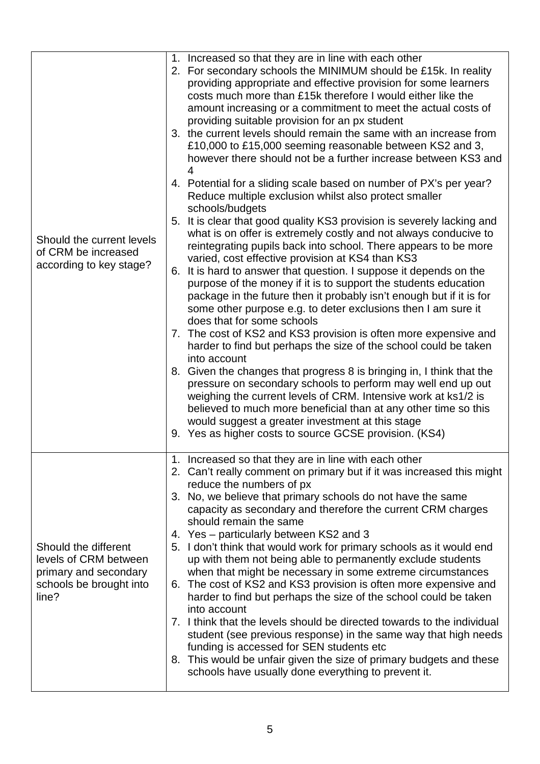| Should the current levels<br>of CRM be increased<br>according to key stage?                                | 1. Increased so that they are in line with each other<br>2. For secondary schools the MINIMUM should be £15k. In reality<br>providing appropriate and effective provision for some learners<br>costs much more than £15k therefore I would either like the<br>amount increasing or a commitment to meet the actual costs of<br>providing suitable provision for an px student<br>3. the current levels should remain the same with an increase from<br>£10,000 to £15,000 seeming reasonable between KS2 and 3,<br>however there should not be a further increase between KS3 and<br>4 |
|------------------------------------------------------------------------------------------------------------|----------------------------------------------------------------------------------------------------------------------------------------------------------------------------------------------------------------------------------------------------------------------------------------------------------------------------------------------------------------------------------------------------------------------------------------------------------------------------------------------------------------------------------------------------------------------------------------|
|                                                                                                            | 4. Potential for a sliding scale based on number of PX's per year?<br>Reduce multiple exclusion whilst also protect smaller<br>schools/budgets                                                                                                                                                                                                                                                                                                                                                                                                                                         |
|                                                                                                            | 5. It is clear that good quality KS3 provision is severely lacking and<br>what is on offer is extremely costly and not always conducive to<br>reintegrating pupils back into school. There appears to be more<br>varied, cost effective provision at KS4 than KS3                                                                                                                                                                                                                                                                                                                      |
|                                                                                                            | 6. It is hard to answer that question. I suppose it depends on the<br>purpose of the money if it is to support the students education<br>package in the future then it probably isn't enough but if it is for<br>some other purpose e.g. to deter exclusions then I am sure it                                                                                                                                                                                                                                                                                                         |
|                                                                                                            | does that for some schools<br>7. The cost of KS2 and KS3 provision is often more expensive and<br>harder to find but perhaps the size of the school could be taken<br>into account                                                                                                                                                                                                                                                                                                                                                                                                     |
|                                                                                                            | 8. Given the changes that progress 8 is bringing in, I think that the<br>pressure on secondary schools to perform may well end up out<br>weighing the current levels of CRM. Intensive work at ks1/2 is<br>believed to much more beneficial than at any other time so this                                                                                                                                                                                                                                                                                                             |
|                                                                                                            | would suggest a greater investment at this stage<br>9. Yes as higher costs to source GCSE provision. (KS4)                                                                                                                                                                                                                                                                                                                                                                                                                                                                             |
| Should the different<br>levels of CRM between<br>primary and secondary<br>schools be brought into<br>line? | 1. Increased so that they are in line with each other<br>2. Can't really comment on primary but if it was increased this might<br>reduce the numbers of px                                                                                                                                                                                                                                                                                                                                                                                                                             |
|                                                                                                            | 3. No, we believe that primary schools do not have the same<br>capacity as secondary and therefore the current CRM charges<br>should remain the same                                                                                                                                                                                                                                                                                                                                                                                                                                   |
|                                                                                                            | 4. Yes – particularly between KS2 and 3<br>5. I don't think that would work for primary schools as it would end<br>up with them not being able to permanently exclude students                                                                                                                                                                                                                                                                                                                                                                                                         |
|                                                                                                            | when that might be necessary in some extreme circumstances<br>6. The cost of KS2 and KS3 provision is often more expensive and<br>harder to find but perhaps the size of the school could be taken                                                                                                                                                                                                                                                                                                                                                                                     |
|                                                                                                            | into account<br>7. I think that the levels should be directed towards to the individual<br>student (see previous response) in the same way that high needs<br>funding is accessed for SEN students etc                                                                                                                                                                                                                                                                                                                                                                                 |
|                                                                                                            | 8. This would be unfair given the size of primary budgets and these<br>schools have usually done everything to prevent it.                                                                                                                                                                                                                                                                                                                                                                                                                                                             |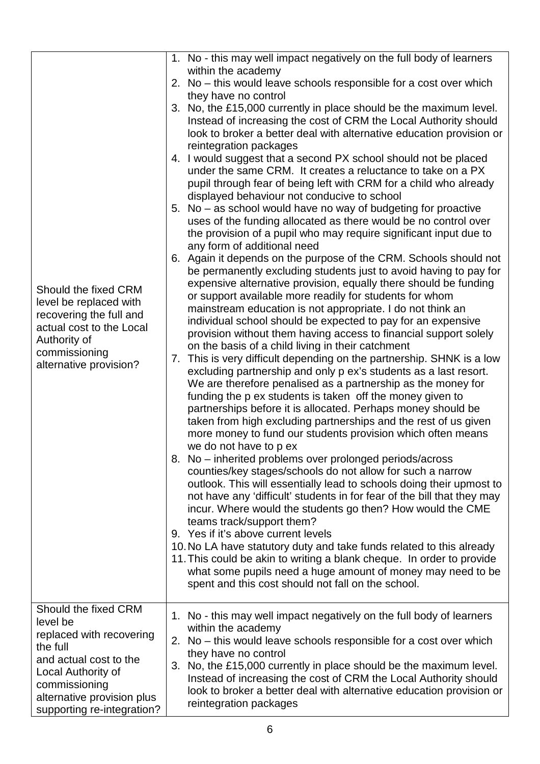|                                  |    | 1. No - this may well impact negatively on the full body of learners                                                                   |
|----------------------------------|----|----------------------------------------------------------------------------------------------------------------------------------------|
|                                  |    | within the academy                                                                                                                     |
|                                  |    | 2. No – this would leave schools responsible for a cost over which<br>they have no control                                             |
|                                  |    | 3. No, the £15,000 currently in place should be the maximum level.                                                                     |
|                                  |    | Instead of increasing the cost of CRM the Local Authority should                                                                       |
|                                  |    | look to broker a better deal with alternative education provision or                                                                   |
|                                  |    | reintegration packages                                                                                                                 |
|                                  |    | 4. I would suggest that a second PX school should not be placed                                                                        |
|                                  |    | under the same CRM. It creates a reluctance to take on a PX                                                                            |
|                                  |    | pupil through fear of being left with CRM for a child who already                                                                      |
|                                  |    | displayed behaviour not conducive to school<br>5. No – as school would have no way of budgeting for proactive                          |
|                                  |    | uses of the funding allocated as there would be no control over                                                                        |
|                                  |    | the provision of a pupil who may require significant input due to                                                                      |
|                                  |    | any form of additional need                                                                                                            |
|                                  |    | 6. Again it depends on the purpose of the CRM. Schools should not                                                                      |
|                                  |    | be permanently excluding students just to avoid having to pay for                                                                      |
| Should the fixed CRM             |    | expensive alternative provision, equally there should be funding                                                                       |
| level be replaced with           |    | or support available more readily for students for whom                                                                                |
| recovering the full and          |    | mainstream education is not appropriate. I do not think an<br>individual school should be expected to pay for an expensive             |
| actual cost to the Local         |    | provision without them having access to financial support solely                                                                       |
| Authority of                     |    | on the basis of a child living in their catchment                                                                                      |
| commissioning                    | 7. | This is very difficult depending on the partnership. SHNK is a low                                                                     |
| alternative provision?           |    | excluding partnership and only p ex's students as a last resort.                                                                       |
|                                  |    | We are therefore penalised as a partnership as the money for                                                                           |
|                                  |    | funding the p ex students is taken off the money given to                                                                              |
|                                  |    | partnerships before it is allocated. Perhaps money should be<br>taken from high excluding partnerships and the rest of us given        |
|                                  |    | more money to fund our students provision which often means                                                                            |
|                                  |    | we do not have to p ex                                                                                                                 |
|                                  |    | 8. No - inherited problems over prolonged periods/across                                                                               |
|                                  |    | counties/key stages/schools do not allow for such a narrow                                                                             |
|                                  |    | outlook. This will essentially lead to schools doing their upmost to                                                                   |
|                                  |    | not have any 'difficult' students in for fear of the bill that they may                                                                |
|                                  |    | incur. Where would the students go then? How would the CME<br>teams track/support them?                                                |
|                                  |    | 9. Yes if it's above current levels                                                                                                    |
|                                  |    | 10. No LA have statutory duty and take funds related to this already                                                                   |
|                                  |    | 11. This could be akin to writing a blank cheque. In order to provide                                                                  |
|                                  |    | what some pupils need a huge amount of money may need to be                                                                            |
|                                  |    | spent and this cost should not fall on the school.                                                                                     |
|                                  |    |                                                                                                                                        |
| Should the fixed CRM<br>level be |    | 1. No - this may well impact negatively on the full body of learners                                                                   |
| replaced with recovering         |    | within the academy                                                                                                                     |
| the full                         |    | 2. No - this would leave schools responsible for a cost over which                                                                     |
| and actual cost to the           |    | they have no control                                                                                                                   |
| Local Authority of               |    | 3. No, the £15,000 currently in place should be the maximum level.<br>Instead of increasing the cost of CRM the Local Authority should |
| commissioning                    |    | look to broker a better deal with alternative education provision or                                                                   |
| alternative provision plus       |    | reintegration packages                                                                                                                 |
| supporting re-integration?       |    |                                                                                                                                        |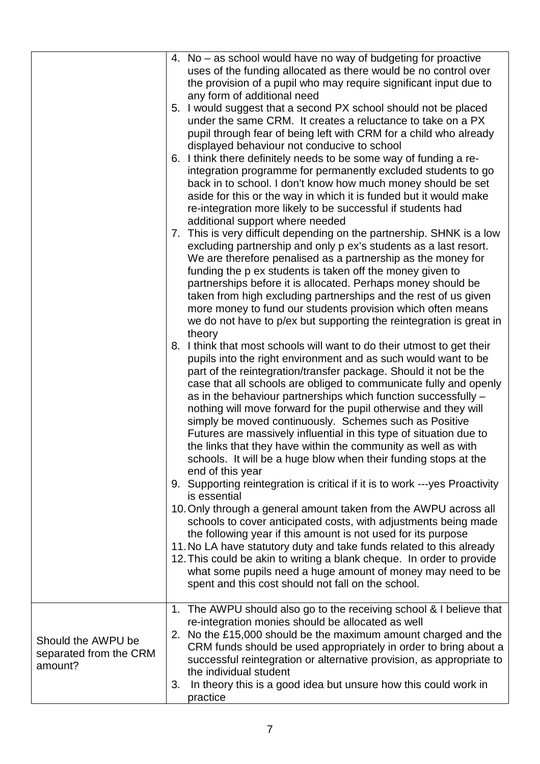|                                                         | 4. No – as school would have no way of budgeting for proactive<br>uses of the funding allocated as there would be no control over<br>the provision of a pupil who may require significant input due to<br>any form of additional need<br>5. I would suggest that a second PX school should not be placed<br>under the same CRM. It creates a reluctance to take on a PX<br>pupil through fear of being left with CRM for a child who already<br>displayed behaviour not conducive to school<br>6. I think there definitely needs to be some way of funding a re-<br>integration programme for permanently excluded students to go<br>back in to school. I don't know how much money should be set<br>aside for this or the way in which it is funded but it would make<br>re-integration more likely to be successful if students had<br>additional support where needed<br>7. This is very difficult depending on the partnership. SHNK is a low<br>excluding partnership and only p ex's students as a last resort.<br>We are therefore penalised as a partnership as the money for<br>funding the p ex students is taken off the money given to<br>partnerships before it is allocated. Perhaps money should be<br>taken from high excluding partnerships and the rest of us given<br>more money to fund our students provision which often means<br>we do not have to p/ex but supporting the reintegration is great in<br>theory<br>8. I think that most schools will want to do their utmost to get their<br>pupils into the right environment and as such would want to be<br>part of the reintegration/transfer package. Should it not be the<br>case that all schools are obliged to communicate fully and openly<br>as in the behaviour partnerships which function successfully -<br>nothing will move forward for the pupil otherwise and they will<br>simply be moved continuously. Schemes such as Positive<br>Futures are massively influential in this type of situation due to<br>the links that they have within the community as well as with<br>schools. It will be a huge blow when their funding stops at the<br>end of this year<br>9. Supporting reintegration is critical if it is to work --- yes Proactivity<br>is essential<br>10. Only through a general amount taken from the AWPU across all<br>schools to cover anticipated costs, with adjustments being made<br>the following year if this amount is not used for its purpose<br>11. No LA have statutory duty and take funds related to this already<br>12. This could be akin to writing a blank cheque. In order to provide<br>what some pupils need a huge amount of money may need to be<br>spent and this cost should not fall on the school. |
|---------------------------------------------------------|---------------------------------------------------------------------------------------------------------------------------------------------------------------------------------------------------------------------------------------------------------------------------------------------------------------------------------------------------------------------------------------------------------------------------------------------------------------------------------------------------------------------------------------------------------------------------------------------------------------------------------------------------------------------------------------------------------------------------------------------------------------------------------------------------------------------------------------------------------------------------------------------------------------------------------------------------------------------------------------------------------------------------------------------------------------------------------------------------------------------------------------------------------------------------------------------------------------------------------------------------------------------------------------------------------------------------------------------------------------------------------------------------------------------------------------------------------------------------------------------------------------------------------------------------------------------------------------------------------------------------------------------------------------------------------------------------------------------------------------------------------------------------------------------------------------------------------------------------------------------------------------------------------------------------------------------------------------------------------------------------------------------------------------------------------------------------------------------------------------------------------------------------------------------------------------------------------------------------------------------------------------------------------------------------------------------------------------------------------------------------------------------------------------------------------------------------------------------------------------------------------------------------------------------------------------------------------------------------------------------------------------------------------------------------------------------------------------------------------------|
|                                                         | 1. The AWPU should also go to the receiving school & I believe that                                                                                                                                                                                                                                                                                                                                                                                                                                                                                                                                                                                                                                                                                                                                                                                                                                                                                                                                                                                                                                                                                                                                                                                                                                                                                                                                                                                                                                                                                                                                                                                                                                                                                                                                                                                                                                                                                                                                                                                                                                                                                                                                                                                                                                                                                                                                                                                                                                                                                                                                                                                                                                                                   |
| Should the AWPU be<br>separated from the CRM<br>amount? | re-integration monies should be allocated as well<br>2. No the £15,000 should be the maximum amount charged and the<br>CRM funds should be used appropriately in order to bring about a<br>successful reintegration or alternative provision, as appropriate to<br>the individual student<br>In theory this is a good idea but unsure how this could work in<br>3.<br>practice                                                                                                                                                                                                                                                                                                                                                                                                                                                                                                                                                                                                                                                                                                                                                                                                                                                                                                                                                                                                                                                                                                                                                                                                                                                                                                                                                                                                                                                                                                                                                                                                                                                                                                                                                                                                                                                                                                                                                                                                                                                                                                                                                                                                                                                                                                                                                        |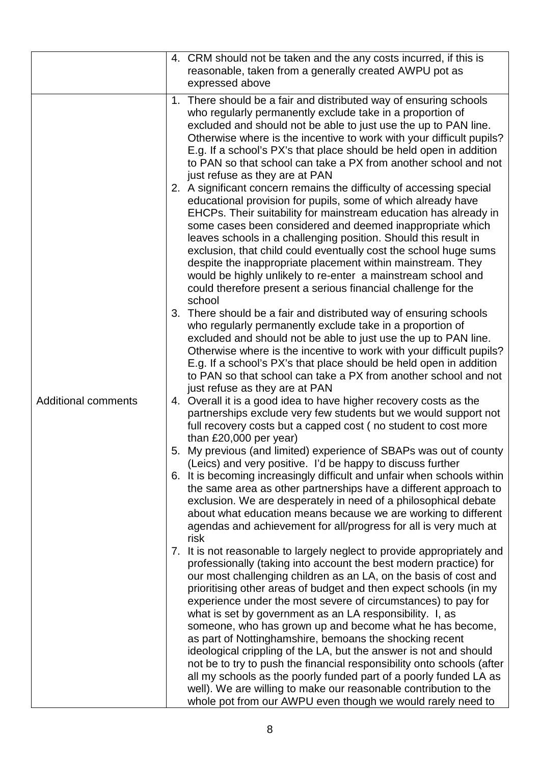|                            | 4. CRM should not be taken and the any costs incurred, if this is<br>reasonable, taken from a generally created AWPU pot as<br>expressed above                                                                                                                                                                                                                                                                                                                                                                                                                                                                                                                                                                                                                                                                                                                                                   |
|----------------------------|--------------------------------------------------------------------------------------------------------------------------------------------------------------------------------------------------------------------------------------------------------------------------------------------------------------------------------------------------------------------------------------------------------------------------------------------------------------------------------------------------------------------------------------------------------------------------------------------------------------------------------------------------------------------------------------------------------------------------------------------------------------------------------------------------------------------------------------------------------------------------------------------------|
|                            |                                                                                                                                                                                                                                                                                                                                                                                                                                                                                                                                                                                                                                                                                                                                                                                                                                                                                                  |
|                            | 1. There should be a fair and distributed way of ensuring schools<br>who regularly permanently exclude take in a proportion of<br>excluded and should not be able to just use the up to PAN line.<br>Otherwise where is the incentive to work with your difficult pupils?<br>E.g. If a school's PX's that place should be held open in addition<br>to PAN so that school can take a PX from another school and not<br>just refuse as they are at PAN<br>2. A significant concern remains the difficulty of accessing special                                                                                                                                                                                                                                                                                                                                                                     |
|                            | educational provision for pupils, some of which already have<br>EHCPs. Their suitability for mainstream education has already in<br>some cases been considered and deemed inappropriate which<br>leaves schools in a challenging position. Should this result in<br>exclusion, that child could eventually cost the school huge sums<br>despite the inappropriate placement within mainstream. They<br>would be highly unlikely to re-enter a mainstream school and<br>could therefore present a serious financial challenge for the<br>school                                                                                                                                                                                                                                                                                                                                                   |
|                            | 3. There should be a fair and distributed way of ensuring schools<br>who regularly permanently exclude take in a proportion of<br>excluded and should not be able to just use the up to PAN line.<br>Otherwise where is the incentive to work with your difficult pupils?<br>E.g. If a school's PX's that place should be held open in addition<br>to PAN so that school can take a PX from another school and not<br>just refuse as they are at PAN                                                                                                                                                                                                                                                                                                                                                                                                                                             |
| <b>Additional comments</b> | 4. Overall it is a good idea to have higher recovery costs as the<br>partnerships exclude very few students but we would support not<br>full recovery costs but a capped cost (no student to cost more<br>than £20,000 per year)                                                                                                                                                                                                                                                                                                                                                                                                                                                                                                                                                                                                                                                                 |
|                            | 5. My previous (and limited) experience of SBAPs was out of county<br>(Leics) and very positive. I'd be happy to discuss further                                                                                                                                                                                                                                                                                                                                                                                                                                                                                                                                                                                                                                                                                                                                                                 |
|                            | 6. It is becoming increasingly difficult and unfair when schools within<br>the same area as other partnerships have a different approach to<br>exclusion. We are desperately in need of a philosophical debate<br>about what education means because we are working to different<br>agendas and achievement for all/progress for all is very much at<br>risk                                                                                                                                                                                                                                                                                                                                                                                                                                                                                                                                     |
|                            | 7. It is not reasonable to largely neglect to provide appropriately and<br>professionally (taking into account the best modern practice) for<br>our most challenging children as an LA, on the basis of cost and<br>prioritising other areas of budget and then expect schools (in my<br>experience under the most severe of circumstances) to pay for<br>what is set by government as an LA responsibility. I, as<br>someone, who has grown up and become what he has become,<br>as part of Nottinghamshire, bemoans the shocking recent<br>ideological crippling of the LA, but the answer is not and should<br>not be to try to push the financial responsibility onto schools (after<br>all my schools as the poorly funded part of a poorly funded LA as<br>well). We are willing to make our reasonable contribution to the<br>whole pot from our AWPU even though we would rarely need to |